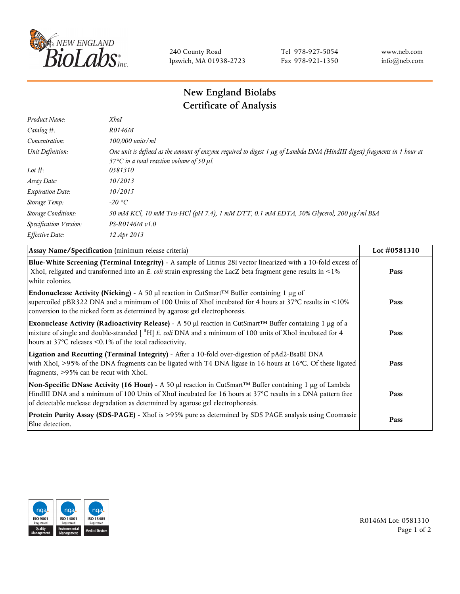

240 County Road Ipswich, MA 01938-2723 Tel 978-927-5054 Fax 978-921-1350 www.neb.com info@neb.com

## **New England Biolabs Certificate of Analysis**

| Product Name:              | XhoI                                                                                                                                                                                  |
|----------------------------|---------------------------------------------------------------------------------------------------------------------------------------------------------------------------------------|
| Catalog #:                 | R0146M                                                                                                                                                                                |
| Concentration:             | 100,000 units/ml                                                                                                                                                                      |
| Unit Definition:           | One unit is defined as the amount of enzyme required to digest 1 µg of Lambda DNA (HindIII digest) fragments in 1 hour at<br>37 $\degree$ C in a total reaction volume of 50 $\mu$ l. |
| Lot $\#$ :                 | 0581310                                                                                                                                                                               |
| Assay Date:                | 10/2013                                                                                                                                                                               |
| <b>Expiration Date:</b>    | 10/2015                                                                                                                                                                               |
| Storage Temp:              | -20 °C                                                                                                                                                                                |
| <b>Storage Conditions:</b> | 50 mM KCl, 10 mM Tris-HCl (pH 7.4), 1 mM DTT, 0.1 mM EDTA, 50% Glycerol, 200 μg/ml BSA                                                                                                |
| Specification Version:     | $PS-R0146M v1.0$                                                                                                                                                                      |
| Effective Date:            | 12 Apr 2013                                                                                                                                                                           |
|                            |                                                                                                                                                                                       |

| Assay Name/Specification (minimum release criteria)                                                                                                                                                                                                                                                                        | Lot #0581310 |
|----------------------------------------------------------------------------------------------------------------------------------------------------------------------------------------------------------------------------------------------------------------------------------------------------------------------------|--------------|
| Blue-White Screening (Terminal Integrity) - A sample of Litmus 28i vector linearized with a 10-fold excess of<br>XhoI, religated and transformed into an E. coli strain expressing the LacZ beta fragment gene results in <1%<br>white colonies.                                                                           | Pass         |
| <b>Endonuclease Activity (Nicking)</b> - A 50 µl reaction in CutSmart <sup>TM</sup> Buffer containing 1 µg of<br>supercoiled pBR322 DNA and a minimum of 100 Units of XhoI incubated for 4 hours at 37°C results in <10%<br>conversion to the nicked form as determined by agarose gel electrophoresis.                    | Pass         |
| Exonuclease Activity (Radioactivity Release) - A 50 $\mu$ l reaction in CutSmart <sup>TM</sup> Buffer containing 1 $\mu$ g of a<br>mixture of single and double-stranded $[$ <sup>3</sup> H $]$ E. coli DNA and a minimum of 100 units of XhoI incubated for 4<br>hours at 37°C releases <0.1% of the total radioactivity. | Pass         |
| Ligation and Recutting (Terminal Integrity) - After a 10-fold over-digestion of pAd2-BsaBI DNA<br>with XhoI, >95% of the DNA fragments can be ligated with T4 DNA ligase in 16 hours at 16°C. Of these ligated<br>fragments, >95% can be recut with XhoI.                                                                  | Pass         |
| Non-Specific DNase Activity (16 Hour) - A 50 µl reaction in CutSmart™ Buffer containing 1 µg of Lambda<br>HindIII DNA and a minimum of 100 Units of XhoI incubated for 16 hours at 37°C results in a DNA pattern free<br>of detectable nuclease degradation as determined by agarose gel electrophoresis.                  | Pass         |
| Protein Purity Assay (SDS-PAGE) - XhoI is >95% pure as determined by SDS PAGE analysis using Coomassie<br>Blue detection.                                                                                                                                                                                                  | Pass         |



R0146M Lot: 0581310 Page 1 of 2